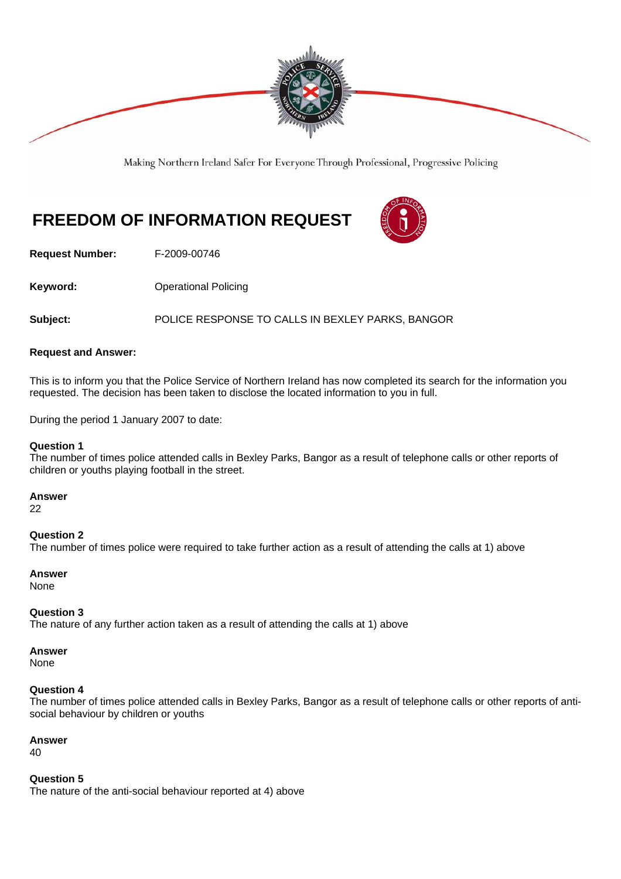

Making Northern Ireland Safer For Everyone Through Professional, Progressive Policing

# **FREEDOM OF INFORMATION REQUEST**



**Request Number:** F-2009-00746

**Keyword: Conservery Operational Policing** 

**Subject:** POLICE RESPONSE TO CALLS IN BEXLEY PARKS, BANGOR

### **Request and Answer:**

This is to inform you that the Police Service of Northern Ireland has now completed its search for the information you requested. The decision has been taken to disclose the located information to you in full.

During the period 1 January 2007 to date:

#### **Question 1**

The number of times police attended calls in Bexley Parks, Bangor as a result of telephone calls or other reports of children or youths playing football in the street.

**Answer** 

22

**Question 2**  The number of times police were required to take further action as a result of attending the calls at 1) above

**Answer**  None

### **Question 3**

The nature of any further action taken as a result of attending the calls at 1) above

**Answer** 

None

### **Question 4**

The number of times police attended calls in Bexley Parks, Bangor as a result of telephone calls or other reports of antisocial behaviour by children or youths

**Answer** 

40

**Question 5**  The nature of the anti-social behaviour reported at 4) above